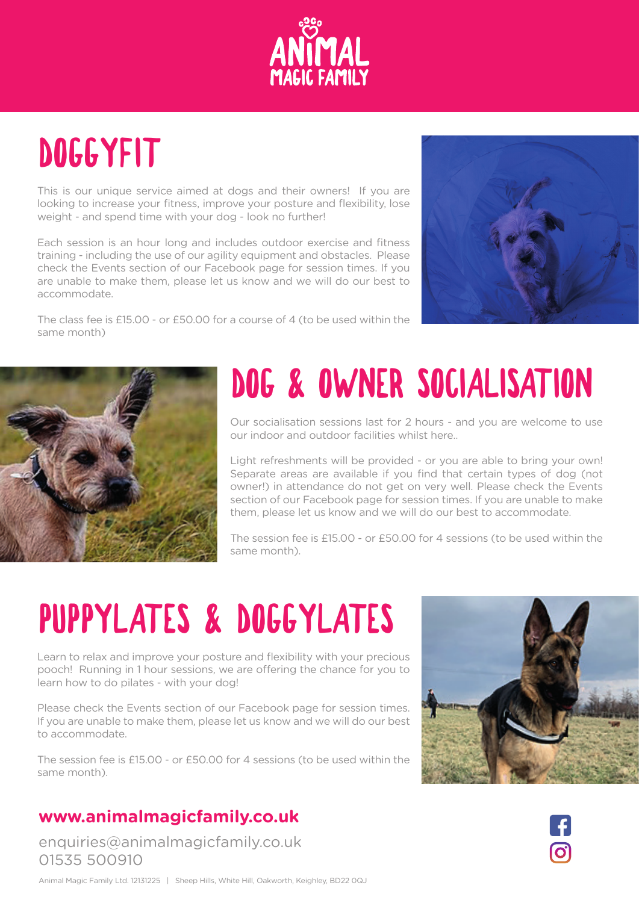

## DOGGYFIT

This is our unique service aimed at dogs and their owners! If you are looking to increase your fitness, improve your posture and flexibility, lose weight - and spend time with your dog - look no further!

Each session is an hour long and includes outdoor exercise and fitness training - including the use of our agility equipment and obstacles. Please check the Events section of our Facebook page for session times. If you are unable to make them, please let us know and we will do our best to accommodate.

The class fee is £15.00 - or £50.00 for a course of 4 (to be used within the same month)





## DOG & OWNER SOCIALISATION

Our socialisation sessions last for 2 hours - and you are welcome to use our indoor and outdoor facilities whilst here..

Light refreshments will be provided - or you are able to bring your own! Separate areas are available if you find that certain types of dog (not owner!) in attendance do not get on very well. Please check the Events section of our Facebook page for session times. If you are unable to make them, please let us know and we will do our best to accommodate.

The session fee is £15.00 - or £50.00 for 4 sessions (to be used within the same month).

## PUPPYLATES & DOGGYLATES

Learn to relax and improve your posture and flexibility with your precious pooch! Running in 1 hour sessions, we are offering the chance for you to learn how to do pilates - with your dog!

Please check the Events section of our Facebook page for session times. If you are unable to make them, please let us know and we will do our best to accommodate.

The session fee is £15.00 - or £50.00 for 4 sessions (to be used within the same month).

### **www.animalmagicfamily.co.uk**

enquiries@animalmagicfamily.co.uk 01535 500910



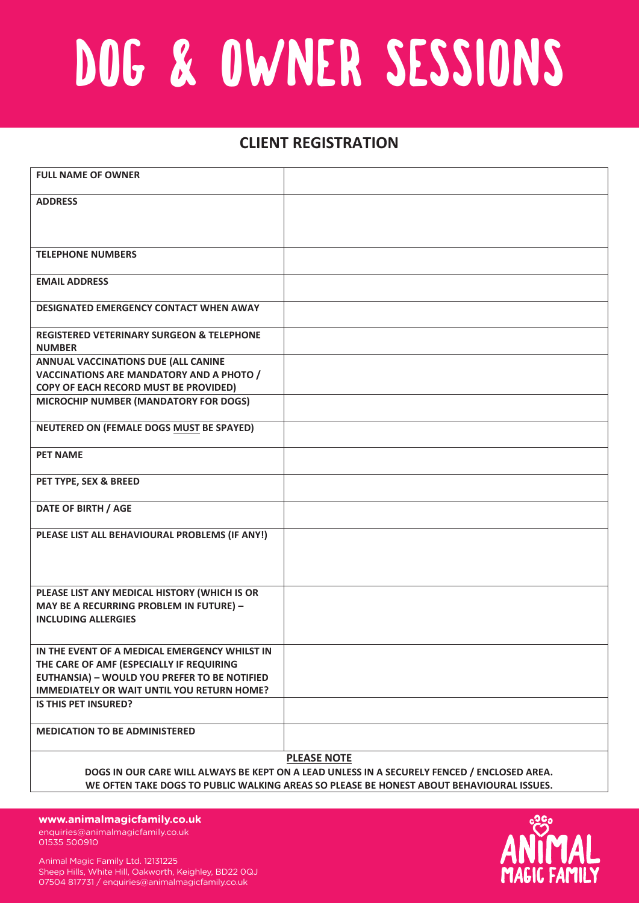# DOG & OWNER SESSIONS

### **CLIENT REGISTRATION**

| <b>FULL NAME OF OWNER</b>                                             |                                                                                             |  |  |
|-----------------------------------------------------------------------|---------------------------------------------------------------------------------------------|--|--|
| <b>ADDRESS</b>                                                        |                                                                                             |  |  |
|                                                                       |                                                                                             |  |  |
|                                                                       |                                                                                             |  |  |
| <b>TELEPHONE NUMBERS</b>                                              |                                                                                             |  |  |
| <b>EMAIL ADDRESS</b>                                                  |                                                                                             |  |  |
| <b>DESIGNATED EMERGENCY CONTACT WHEN AWAY</b>                         |                                                                                             |  |  |
| <b>REGISTERED VETERINARY SURGEON &amp; TELEPHONE</b><br><b>NUMBER</b> |                                                                                             |  |  |
| ANNUAL VACCINATIONS DUE (ALL CANINE                                   |                                                                                             |  |  |
| <b>VACCINATIONS ARE MANDATORY AND A PHOTO /</b>                       |                                                                                             |  |  |
| COPY OF EACH RECORD MUST BE PROVIDED)                                 |                                                                                             |  |  |
| MICROCHIP NUMBER (MANDATORY FOR DOGS)                                 |                                                                                             |  |  |
| NEUTERED ON (FEMALE DOGS MUST BE SPAYED)                              |                                                                                             |  |  |
| <b>PET NAME</b>                                                       |                                                                                             |  |  |
| PET TYPE, SEX & BREED                                                 |                                                                                             |  |  |
| DATE OF BIRTH / AGE                                                   |                                                                                             |  |  |
| PLEASE LIST ALL BEHAVIOURAL PROBLEMS (IF ANY!)                        |                                                                                             |  |  |
|                                                                       |                                                                                             |  |  |
|                                                                       |                                                                                             |  |  |
| PLEASE LIST ANY MEDICAL HISTORY (WHICH IS OR                          |                                                                                             |  |  |
| MAY BE A RECURRING PROBLEM IN FUTURE) -                               |                                                                                             |  |  |
| <b>INCLUDING ALLERGIES</b>                                            |                                                                                             |  |  |
| IN THE EVENT OF A MEDICAL EMERGENCY WHILST IN                         |                                                                                             |  |  |
| THE CARE OF AMF (ESPECIALLY IF REQUIRING                              |                                                                                             |  |  |
| <b>EUTHANSIA) - WOULD YOU PREFER TO BE NOTIFIED</b>                   |                                                                                             |  |  |
| <b>IMMEDIATELY OR WAIT UNTIL YOU RETURN HOME?</b>                     |                                                                                             |  |  |
| <b>IS THIS PET INSURED?</b>                                           |                                                                                             |  |  |
| <b>MEDICATION TO BE ADMINISTERED</b>                                  |                                                                                             |  |  |
|                                                                       |                                                                                             |  |  |
|                                                                       | <b>PLEASE NOTE</b>                                                                          |  |  |
|                                                                       | DOGS IN OUR CARE WILL ALWAYS BE KEPT ON A LEAD UNLESS IN A SECURELY FENCED / ENCLOSED AREA. |  |  |

**Animal Magic Family Ltd. 12131225 WE OFTEN TAKE DOGS TO PUBLIC WALKING AREAS SO PLEASE BE HONEST ABOUT BEHAVIOURAL ISSUES.**

**Sheep Hills, White Hill, Oakworth, Keighley, BD22 0QJ** enquiries@animalmagicfamily.co.uk 01535 500910 **www.animalmagicfamily.co.uk**

Animal Magic Family Ltd. 12131225 Sheep Hills, White Hill, Oakworth, Keighley, BD22 0QJ 07504 817731 / enquiries@animalmagicfamily.co.uk

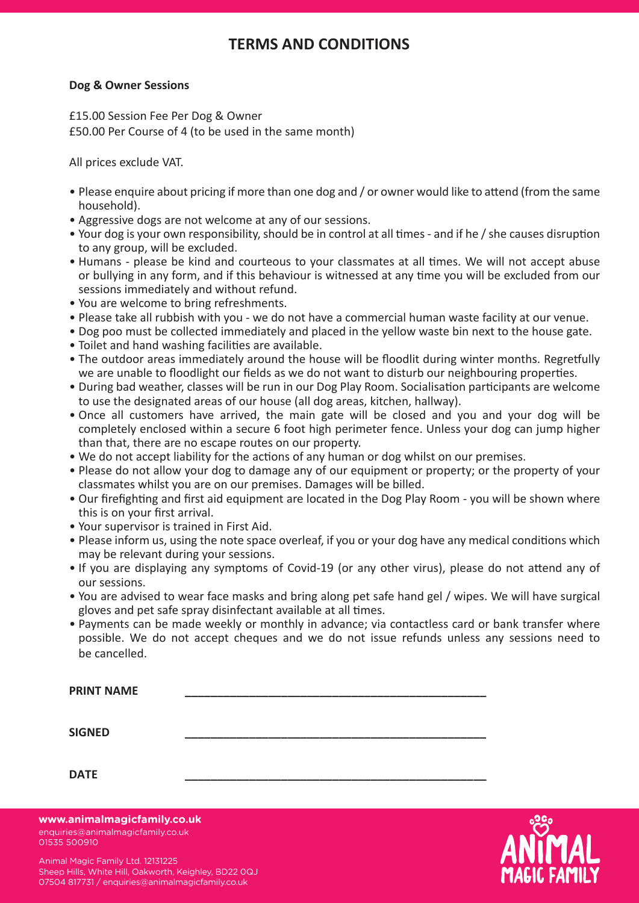### **FLEAS AND CONDITIONS**

#### **Dog & Owner Sessions**

 $\overline{\mathbf{C}}$ £50.00 Per Course of 4 (to be used in the same month) £15.00 Session Fee Per Dog & Owner

All prices exclude VAT. The injuries immediately and on site  $\mathcal{L}$ 

- household). • Please enquire about pricing if more than one dog and / or owner would like to attend (from the same We are registered with Vets for Pets in Keighley, Stanley House and Mearley Veterinary Groups.
- Aggressive dogs are not welcome at any of our sessions.
- Your dog is your own responsibility, should be in control at all times and if he / she causes disruption to any group, will be excluded.
- . Humans please be kind and courteous to your classmates at all times. We will not accept abuse or bullying in any form, and if this behaviour is witnessed at any time you will be excluded from our sessions immediately and without refund.<br>
a dog can spend in a *closed* crate for the countryside for the countryside for the country service is 3 hours.
- You are welcome to bring refreshments.
- Please take all rubbish with you we do not have a commercial human waste facility at our venue.
- . Dog poo must be collected immediately and placed in the yellow waste bin next to the house gate.
- Toilet and hand washing facilities are available.
- . The outdoor areas immediately around the house will be floodlit during winter months. Regretfully we are unable to floodlight our fields as we do not want to disturb our neighbouring properties.
- · During bad weather, classes will be run in our Dog Play Room. Socialisation participants are welcome to use the designated areas of our house (all dog areas, kitchen, hallway).<br>Conservative issues of our house (all dog areas, kitchen, hallway).
- Once all customers mave arrived, the main gate will be closed and you and your dog v<br>Completely enclosed within a secure C fact high nevimeter fance. Unless your day see jumps completely enclosed within a secure 6 foot high perimeter fence. Unless your dog can jump higher • Once all customers have arrived, the main gate will be closed and you and your dog will be than that, there are no escape routes on our property.
- We do not accept liability for the actions of any human or dog whilst on our premises.
- Please do not allow your dog to damage any of our equipment or property; or the property of your classmates whilst you are on our premises. Damages will be billed.
- Our firefighting and first aid equipment are located in the Dog Play Room you will be shown where this is on your first arrival.
- Your supervisor is trained in First Aid.
- Please inform us, using the note space overleaf, if you or your dog have any medical conditions which issues sooner or later - but we have to protect our clients and personnel – and will have to charge a may be relevant during your sessions. 1 Fixed Day £108.33 £ 43.30 £ 65.00
- If you are displaying any symptoms of Covid-19 (or any other virus), please do not attend any of e provide consistent training for your dog which at home and out in public. Do not allow the models which which we have a set of  $\alpha$  $\overline{3}$  Days  $\overline{3}$  Sessions.
- You are advised to wear face masks and bring along pet safe hand gel / wipes. We will have surgical gloves and pet safe spray disinfectant available at all times.<br>
<sub>1</sub> Fixed Days 2021.50 £487.50 £325.00 £325.000 £325.000 £325.000 £325.000 £325.000 £325.000 £325.000 £325.000 £  $\bullet$  You are advised to wear face masks and bring along pet sa
- Payments can be made weekly or monthly in advance; via contactless card or bank transfer where possible. We do not accept cheques and we do not issue refunds unless any sessions need to  $\alpha$  is cancelled. The canonication during our visit, please remember to provide clear instructions  $\alpha$ be cancelled.

| <b>PRINT NAME</b> |  |
|-------------------|--|
| <b>SIGNED</b>     |  |
| <b>DATE</b>       |  |

enquiries@animalmagicfamily.co.uk 01535 500910 **www.animalmagicfamily.co.uk**